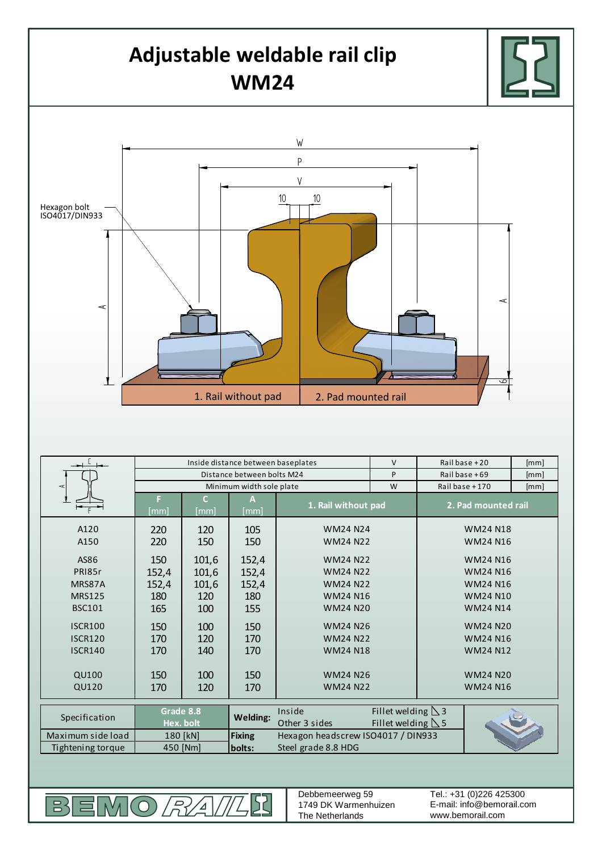

EMO*RAI*  $B<sup>2</sup>$ DC Debbemeerweg 59 1749 DK Warmenhuizen The Netherlands

E-mail: info@bemorail.com www.bemorail.com Tel.: +31 (0)226 425300